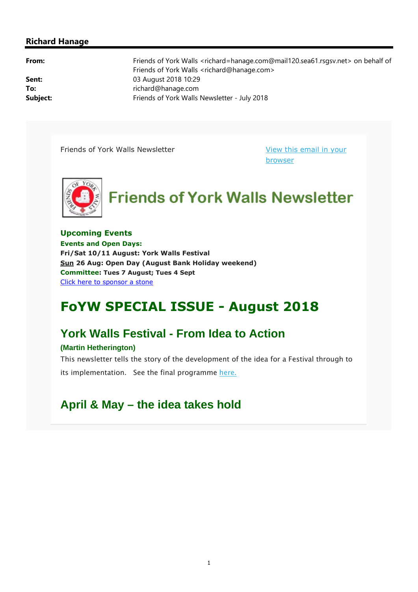### **Richard Hanage**

|  | ×<br>۰. | × |
|--|---------|---|

**From:** Friends of York Walls <richard=hanage.com@mail120.sea61.rsgsv.net> on behalf of Friends of York Walls <richard@hanage.com> **Sent:** 03 August 2018 10:29 To: To: **To:** richard@hanage.com **Subject:** Friends of York Walls Newsletter - July 2018

Friends of York Walls Newsletter View this email in your

browser



**Upcoming Events Events and Open Days: Fri/Sat 10/11 August: York Walls Festival Sun 26 Aug: Open Day (August Bank Holiday weekend) Committee: Tues 7 August; Tues 4 Sept**  Click here to sponsor a stone

# **FoYW SPECIAL ISSUE - August 2018**

## **York Walls Festival - From Idea to Action**

### **(Martin Hetherington)**

This newsletter tells the story of the development of the idea for a Festival through to its implementation. See the final programme here.

### **April & May – the idea takes hold**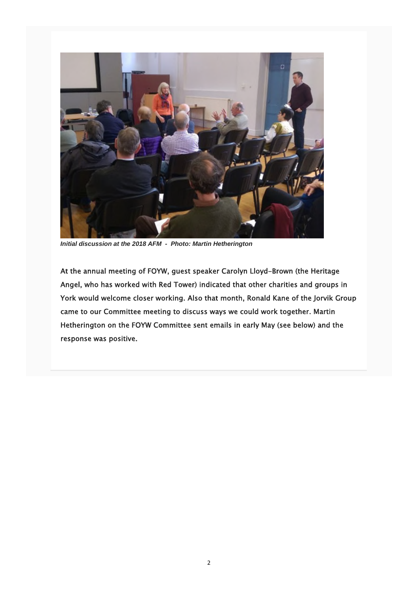

*Initial discussion at the 2018 AFM - Photo: Martin Hetherington*

At the annual meeting of FOYW, guest speaker Carolyn Lloyd-Brown (the Heritage Angel, who has worked with Red Tower) indicated that other charities and groups in York would welcome closer working. Also that month, Ronald Kane of the Jorvik Group came to our Committee meeting to discuss ways we could work together. Martin Hetherington on the FOYW Committee sent emails in early May (see below) and the response was positive.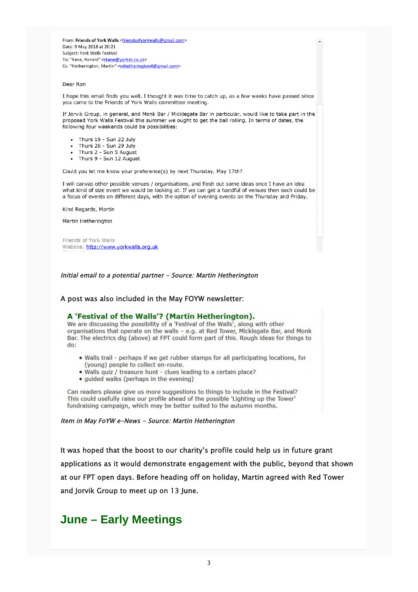From: Friends of York Walls <friendsofyorkwalls@gmail.com> Date: 9 May 2018 at 20:21 Subject: York Walls Festival To: "Kane, Ronald" <rkane@yorkat.co.uk> Cc: "Hetherington, Martin" <mhetherington4@gmail.com>

#### Dear Ron

I hope this email finds you well. I thought it was time to catch up, as a few weeks have passed since you came to the Friends of York Walls committee meeting.

If Jorvik Group, in general, and Monk Bar / Micklegate Bar in particular, would like to take part in the proposed York Walls Festival this summer we ought to get the ball rolling. In terms of dates, the following four weekends could be possibilities:

- Thurs 19 Sun 22 July
- Thurs 26 Sun 29 July
- Thurs 2 Sun 5 August
- Thurs 9 Sun 12 August

Could you let me know your preference(s) by next Thursday, May 17th?

I will canvas other possible venues / organisations, and flesh out some ideas once I have an idea what kind of size event we would be looking at. If we can get a handful of venues then each could be a focus of events on different days, with the option of evening events on the Thursday and Friday.

Kind Regards, Martin

Martin Hetherington

Friends of York Walls Website: http://www.yorkwalls.org.uk

Initial email to a potential partner - Source: Martin Hetherington

#### A post was also included in the May FOYW newsletter:

#### A 'Festival of the Walls'? (Martin Hetherington).

We are discussing the possibility of a 'Festival of the Walls', along with other organisations that operate on the walls - e.g. at Red Tower, Micklegate Bar, and Monk Bar. The electrics dig (above) at FPT could form part of this. Rough ideas for things to  $do:$ 

- . Walls trail perhaps if we get rubber stamps for all participating locations, for (young) people to collect en-route.
- . Walls quiz / treasure hunt clues leading to a certain place?
- · guided walks (perhaps in the evening)

Can readers please give us more suggestions to things to include in the Festival? This could usefully raise our profile ahead of the possible 'Lighting up the Tower' fundraising campaign, which may be better suited to the autumn months.

#### Item in May FoYW e-News - Source: Martin Hetherington

It was hoped that the boost to our charity's profile could help us in future grant applications as it would demonstrate engagement with the public, beyond that shown at our FPT open days. Before heading off on holiday, Martin agreed with Red Tower and Jorvik Group to meet up on 13 June.

### **June – Early Meetings**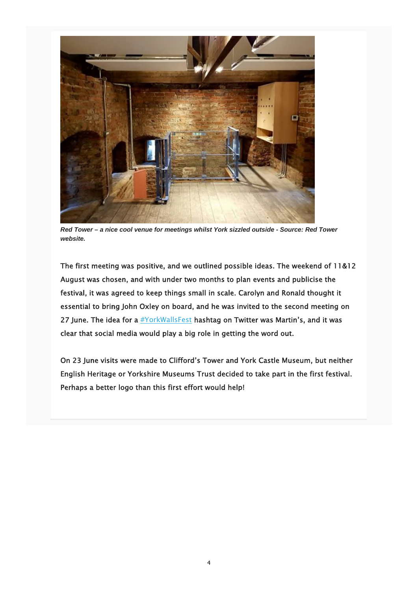

*Red Tower – a nice cool venue for meetings whilst York sizzled outside - Source: Red Tower website.*

The first meeting was positive, and we outlined possible ideas. The weekend of 11&12 August was chosen, and with under two months to plan events and publicise the festival, it was agreed to keep things small in scale. Carolyn and Ronald thought it essential to bring John Oxley on board, and he was invited to the second meeting on 27 June. The idea for a  $\frac{\text{#YorkWallsFest}}{\text{Best}}$  hashtag on Twitter was Martin's, and it was clear that social media would play a big role in getting the word out.

On 23 June visits were made to Clifford's Tower and York Castle Museum, but neither English Heritage or Yorkshire Museums Trust decided to take part in the first festival. Perhaps a better logo than this first effort would help!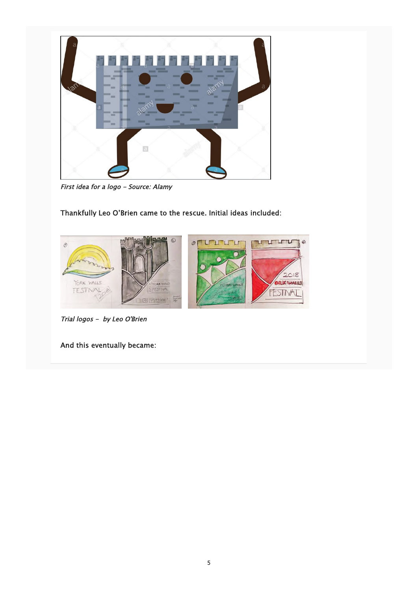

First idea for a logo - Source: Alamy

Thankfully Leo O'Brien came to the rescue. Initial ideas included:



Trial logos - by Leo O'Brien

And this eventually became: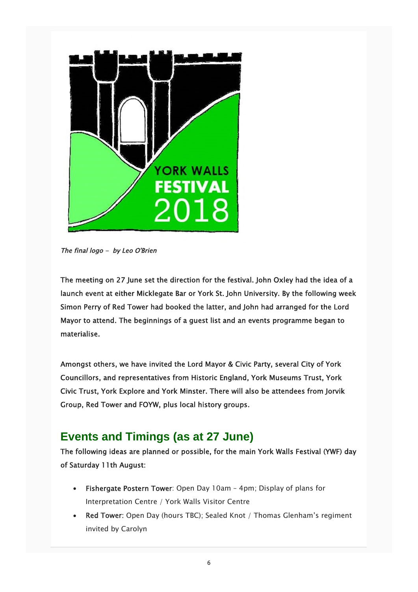

The final logo - by Leo O'Brien

The meeting on 27 June set the direction for the festival. John Oxley had the idea of a launch event at either Micklegate Bar or York St. John University. By the following week Simon Perry of Red Tower had booked the latter, and John had arranged for the Lord Mayor to attend. The beginnings of a guest list and an events programme began to materialise.

Amongst others, we have invited the Lord Mayor & Civic Party, several City of York Councillors, and representatives from Historic England, York Museums Trust, York Civic Trust, York Explore and York Minster. There will also be attendees from Jorvik Group, Red Tower and FOYW, plus local history groups.

## **Events and Timings (as at 27 June)**

The following ideas are planned or possible, for the main York Walls Festival (YWF) day of Saturday 11th August:

- Fishergate Postern Tower: Open Day 10am 4pm; Display of plans for Interpretation Centre / York Walls Visitor Centre
- Red Tower: Open Day (hours TBC); Sealed Knot / Thomas Glenham's regiment invited by Carolyn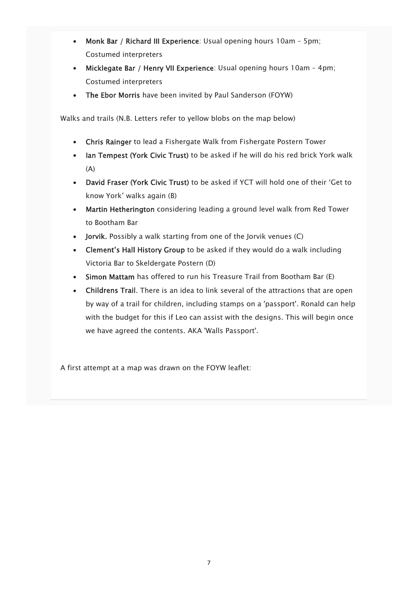- Monk Bar / Richard III Experience: Usual opening hours 10am 5pm; Costumed interpreters
- Micklegate Bar / Henry VII Experience: Usual opening hours 10am 4pm; Costumed interpreters
- The Ebor Morris have been invited by Paul Sanderson (FOYW)

Walks and trails (N.B. Letters refer to yellow blobs on the map below)

- Chris Rainger to lead a Fishergate Walk from Fishergate Postern Tower
- Ian Tempest (York Civic Trust) to be asked if he will do his red brick York walk (A)
- David Fraser (York Civic Trust) to be asked if YCT will hold one of their 'Get to know York' walks again (B)
- Martin Hetherington considering leading a ground level walk from Red Tower to Bootham Bar
- Jorvik. Possibly a walk starting from one of the Jorvik venues (C)
- Clement's Hall History Group to be asked if they would do a walk including Victoria Bar to Skeldergate Postern (D)
- Simon Mattam has offered to run his Treasure Trail from Bootham Bar (E)
- Childrens Trail. There is an idea to link several of the attractions that are open by way of a trail for children, including stamps on a 'passport'. Ronald can help with the budget for this if Leo can assist with the designs. This will begin once we have agreed the contents. AKA 'Walls Passport'.

A first attempt at a map was drawn on the FOYW leaflet: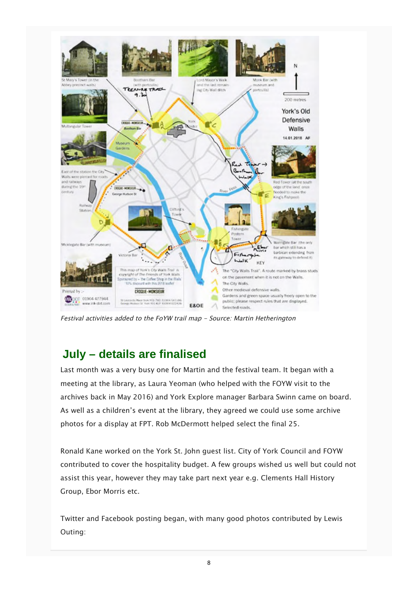

Festival activities added to the FoYW trail map - Source: Martin Hetherington

## **July – details are finalised**

Last month was a very busy one for Martin and the festival team. It began with a meeting at the library, as Laura Yeoman (who helped with the FOYW visit to the archives back in May 2016) and York Explore manager Barbara Swinn came on board. As well as a children's event at the library, they agreed we could use some archive photos for a display at FPT. Rob McDermott helped select the final 25.

Ronald Kane worked on the York St. John guest list. City of York Council and FOYW contributed to cover the hospitality budget. A few groups wished us well but could not assist this year, however they may take part next year e.g. Clements Hall History Group, Ebor Morris etc.

Twitter and Facebook posting began, with many good photos contributed by Lewis Outing: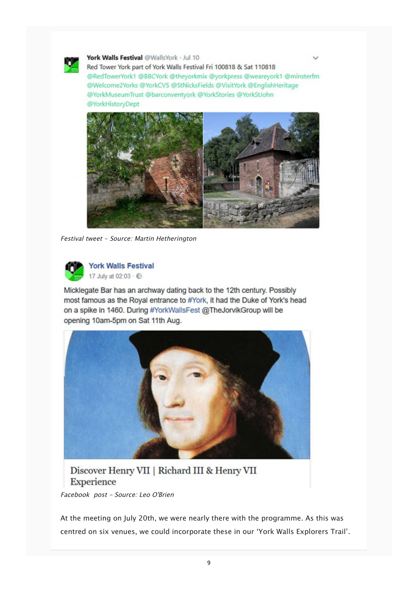

York Walls Festival @WallsYork · Jul 10

Red Tower York part of York Walls Festival Fri 100818 & Sat 110818 @RedTowerYork1 @BBCYork @theyorkmix @yorkpress @weareyork1 @minsterfm @Welcome2Yorks @YorkCVS @StNicksFields @VisitYork @EnglishHeritage @YorkMuseumTrust @barconventyork @YorkStories @YorkStJohn @YorkHistoryDept



Festival tweet - Source: Martin Hetherington



**York Walls Festival** 17 July at 02:03 · @

Micklegate Bar has an archway dating back to the 12th century. Possibly most famous as the Royal entrance to #York, it had the Duke of York's head on a spike in 1460. During #YorkWallsFest @TheJorvikGroup will be opening 10am-5pm on Sat 11th Aug.



Discover Henry VII | Richard III & Henry VII **Experience** 

Facebook post - Source: Leo O'Brien

At the meeting on July 20th, we were nearly there with the programme. As this was centred on six venues, we could incorporate these in our 'York Walls Explorers Trail'.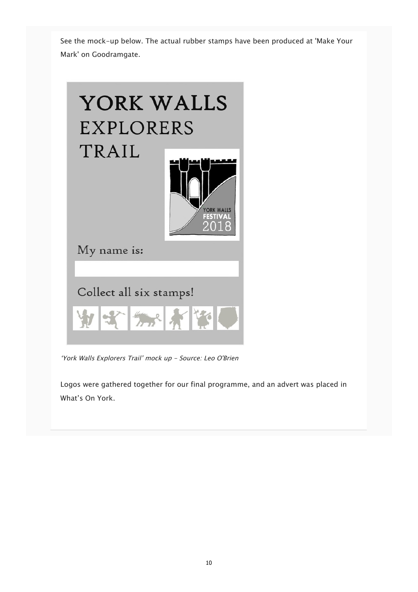See the mock-up below. The actual rubber stamps have been produced at 'Make Your Mark' on Goodramgate.



'York Walls Explorers Trail' mock up - Source: Leo O'Brien

Logos were gathered together for our final programme, and an advert was placed in What's On York.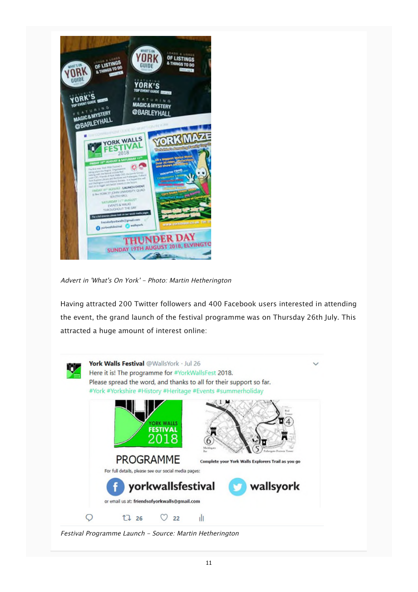

Advert in 'What's On York' - Photo: Martin Hetherington

Having attracted 200 Twitter followers and 400 Facebook users interested in attending the event, the grand launch of the festival programme was on Thursday 26th July. This attracted a huge amount of interest online:



Festival Programme Launch - Source: Martin Hetherington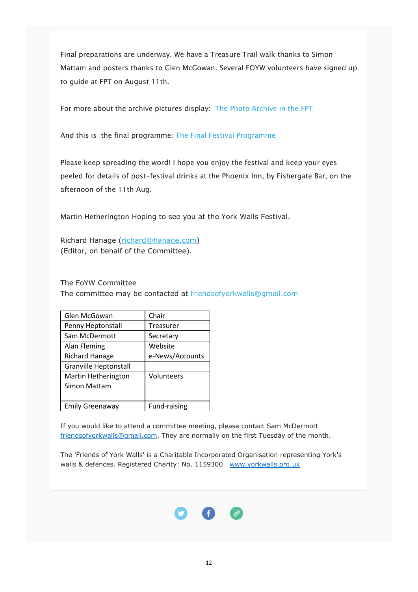Final preparations are underway. We have a Treasure Trail walk thanks to Simon Mattam and posters thanks to Glen McGowan. Several FOYW volunteers have signed up to guide at FPT on August 11th.

For more about the archive pictures display: The Photo Archive in the FPT

And this is the final programme: The Final Festival Programme

Please keep spreading the word! I hope you enjoy the festival and keep your eyes peeled for details of post-festival drinks at the Phoenix Inn, by Fishergate Bar, on the afternoon of the 11th Aug.

Martin Hetherington Hoping to see you at the York Walls Festival.

Richard Hanage (richard@hanage.com) (Editor, on behalf of the Committee).

The FoYW Committee

The committee may be contacted at friendsofyorkwalls@gmail.com

| Glen McGowan                 | Chair           |  |
|------------------------------|-----------------|--|
| Penny Heptonstall            | Treasurer       |  |
| Sam McDermott                | Secretary       |  |
| <b>Alan Fleming</b>          | Website         |  |
| <b>Richard Hanage</b>        | e-News/Accounts |  |
| <b>Granville Heptonstall</b> |                 |  |
| Martin Hetherington          | Volunteers      |  |
| Simon Mattam                 |                 |  |
|                              |                 |  |
| Emily Greenaway              | Fund-raising    |  |

If you would like to attend a committee meeting, please contact Sam McDermott friendsofyorkwalls@gmail.com. They are normally on the first Tuesday of the month.

The 'Friends of York Walls' is a Charitable Incorporated Organisation representing York's walls & defences. Registered Charity: No. 1159300 www.yorkwalls.org.uk